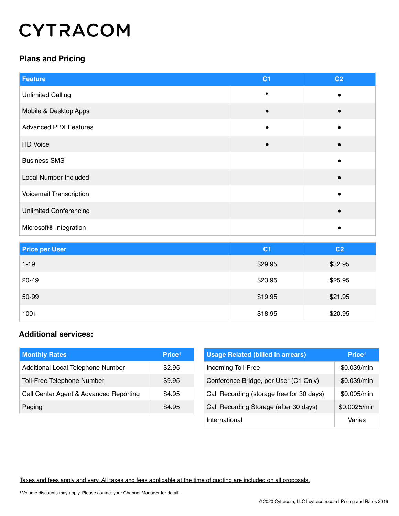# **CYTRACOM**

## **Plans and Pricing**

| <b>Feature</b>                     | C <sub>1</sub> | C <sub>2</sub> |
|------------------------------------|----------------|----------------|
| <b>Unlimited Calling</b>           |                |                |
| Mobile & Desktop Apps              |                |                |
| <b>Advanced PBX Features</b>       |                |                |
| HD Voice                           |                |                |
| <b>Business SMS</b>                |                |                |
| <b>Local Number Included</b>       |                |                |
| Voicemail Transcription            |                |                |
| <b>Unlimited Conferencing</b>      |                |                |
| Microsoft <sup>®</sup> Integration |                |                |

| <b>Price per User</b> | C <sub>1</sub> | C <sub>2</sub> |
|-----------------------|----------------|----------------|
| $1 - 19$              | \$29.95        | \$32.95        |
| 20-49                 | \$23.95        | \$25.95        |
| 50-99                 | \$19.95        | \$21.95        |
| $100+$                | \$18.95        | \$20.95        |

#### **Additional services:**

| <b>Monthly Rates</b>                   | Price <sup>1</sup> |
|----------------------------------------|--------------------|
| Additional Local Telephone Number      | \$2.95             |
| Toll-Free Telephone Number             | \$9.95             |
| Call Center Agent & Advanced Reporting | \$4.95             |
| Paging                                 | \$4.95             |

| <b>Usage Related (billed in arrears)</b>  | Price <sup>1</sup> |
|-------------------------------------------|--------------------|
| Incoming Toll-Free                        | \$0.039/min        |
| Conference Bridge, per User (C1 Only)     | \$0.039/min        |
| Call Recording (storage free for 30 days) | \$0.005/min        |
| Call Recording Storage (after 30 days)    | \$0.0025/min       |
| International                             | Varies             |

Taxes and fees apply and vary. All taxes and fees applicable at the time of quoting are included on all proposals.